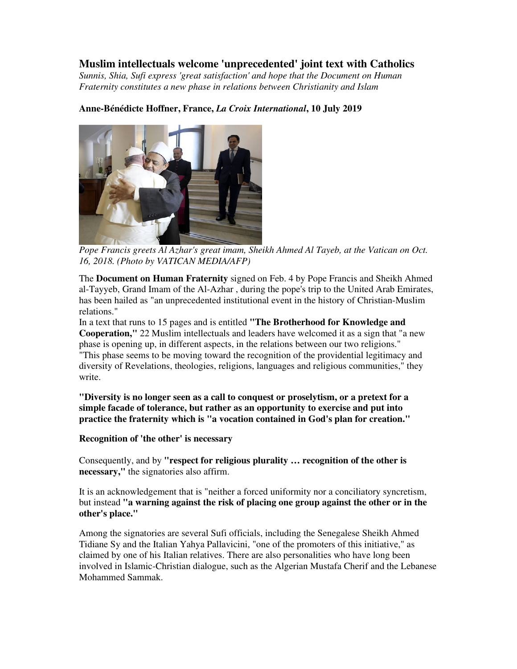## **Muslim intellectuals welcome 'unprecedented' joint text with Catholics**

*Sunnis, Shia, Sufi express 'great satisfaction' and hope that the Document on Human Fraternity constitutes a new phase in relations between Christianity and Islam* 

## **Anne-Bénédicte Hoffner, France,** *La Croix International***, 10 July 2019**



*Pope Francis greets Al Azhar's great imam, Sheikh Ahmed Al Tayeb, at the Vatican on Oct. 16, 2018. (Photo by VATICAN MEDIA/AFP)*

The **Document on Human Fraternity** signed on Feb. 4 by Pope Francis and Sheikh Ahmed al-Tayyeb, Grand Imam of the Al-Azhar , during the pope's trip to the United Arab Emirates, has been hailed as "an unprecedented institutional event in the history of Christian-Muslim relations."

In a text that runs to 15 pages and is entitled **"The Brotherhood for Knowledge and Cooperation,"** 22 Muslim intellectuals and leaders have welcomed it as a sign that "a new phase is opening up, in different aspects, in the relations between our two religions." "This phase seems to be moving toward the recognition of the providential legitimacy and diversity of Revelations, theologies, religions, languages and religious communities," they write.

**"Diversity is no longer seen as a call to conquest or proselytism, or a pretext for a simple facade of tolerance, but rather as an opportunity to exercise and put into practice the fraternity which is "a vocation contained in God's plan for creation."** 

## **Recognition of 'the other' is necessary**

Consequently, and by **"respect for religious plurality … recognition of the other is necessary,"** the signatories also affirm.

It is an acknowledgement that is "neither a forced uniformity nor a conciliatory syncretism, but instead **"a warning against the risk of placing one group against the other or in the other's place."**

Among the signatories are several Sufi officials, including the Senegalese Sheikh Ahmed Tidiane Sy and the Italian Yahya Pallavicini, "one of the promoters of this initiative," as claimed by one of his Italian relatives. There are also personalities who have long been involved in Islamic-Christian dialogue, such as the Algerian Mustafa Cherif and the Lebanese Mohammed Sammak.